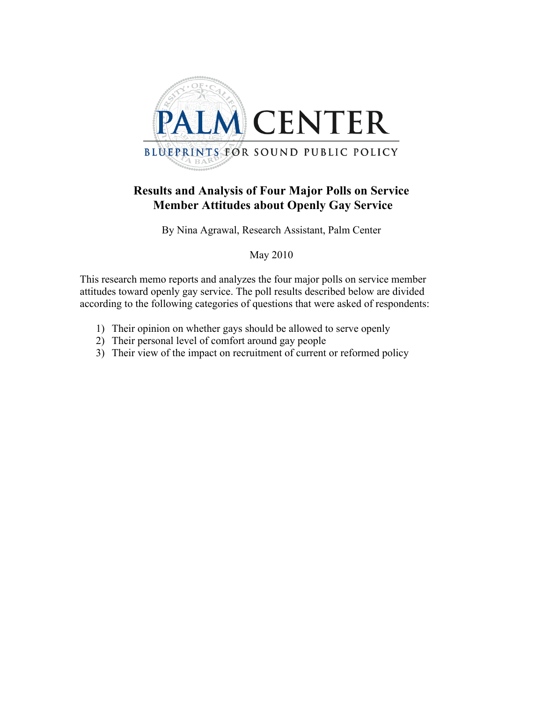

#### **Results and Analysis of Four Major Polls on Service Member Attitudes about Openly Gay Service**

By Nina Agrawal, Research Assistant, Palm Center

May 2010

This research memo reports and analyzes the four major polls on service member attitudes toward openly gay service. The poll results described below are divided according to the following categories of questions that were asked of respondents:

- 1) Their opinion on whether gays should be allowed to serve openly
- 2) Their personal level of comfort around gay people
- 3) Their view of the impact on recruitment of current or reformed policy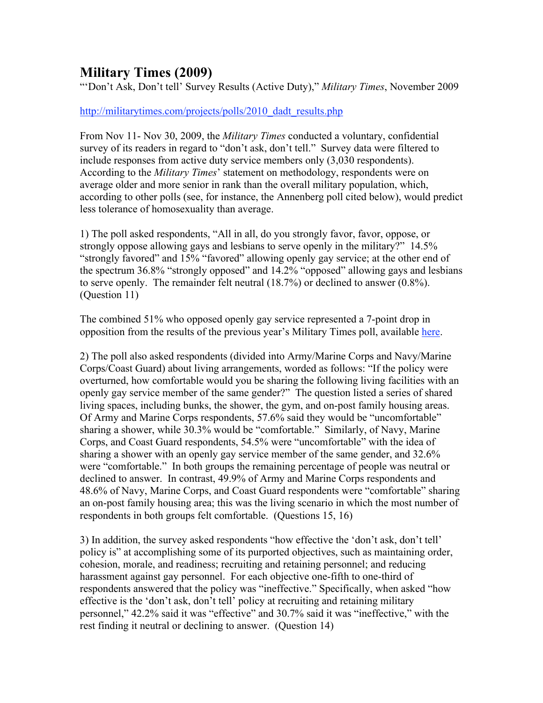#### **Military Times (2009)**

"'Don't Ask, Don't tell' Survey Results (Active Duty)," *Military Times*, November 2009

#### http://militarytimes.com/projects/polls/2010\_dadt\_results.php

From Nov 11- Nov 30, 2009, the *Military Times* conducted a voluntary, confidential survey of its readers in regard to "don't ask, don't tell." Survey data were filtered to include responses from active duty service members only (3,030 respondents). According to the *Military Times*' statement on methodology, respondents were on average older and more senior in rank than the overall military population, which, according to other polls (see, for instance, the Annenberg poll cited below), would predict less tolerance of homosexuality than average.

1) The poll asked respondents, "All in all, do you strongly favor, favor, oppose, or strongly oppose allowing gays and lesbians to serve openly in the military?" 14.5% "strongly favored" and 15% "favored" allowing openly gay service; at the other end of the spectrum 36.8% "strongly opposed" and 14.2% "opposed" allowing gays and lesbians to serve openly. The remainder felt neutral (18.7%) or declined to answer (0.8%). (Question 11)

The combined 51% who opposed openly gay service represented a 7-point drop in opposition from the results of the previous year's Military Times poll, available here.

2) The poll also asked respondents (divided into Army/Marine Corps and Navy/Marine Corps/Coast Guard) about living arrangements, worded as follows: "If the policy were overturned, how comfortable would you be sharing the following living facilities with an openly gay service member of the same gender?" The question listed a series of shared living spaces, including bunks, the shower, the gym, and on-post family housing areas. Of Army and Marine Corps respondents, 57.6% said they would be "uncomfortable" sharing a shower, while 30.3% would be "comfortable." Similarly, of Navy, Marine Corps, and Coast Guard respondents, 54.5% were "uncomfortable" with the idea of sharing a shower with an openly gay service member of the same gender, and 32.6% were "comfortable." In both groups the remaining percentage of people was neutral or declined to answer. In contrast, 49.9% of Army and Marine Corps respondents and 48.6% of Navy, Marine Corps, and Coast Guard respondents were "comfortable" sharing an on-post family housing area; this was the living scenario in which the most number of respondents in both groups felt comfortable. (Questions 15, 16)

3) In addition, the survey asked respondents "how effective the 'don't ask, don't tell' policy is" at accomplishing some of its purported objectives, such as maintaining order, cohesion, morale, and readiness; recruiting and retaining personnel; and reducing harassment against gay personnel. For each objective one-fifth to one-third of respondents answered that the policy was "ineffective." Specifically, when asked "how effective is the 'don't ask, don't tell' policy at recruiting and retaining military personnel," 42.2% said it was "effective" and 30.7% said it was "ineffective," with the rest finding it neutral or declining to answer. (Question 14)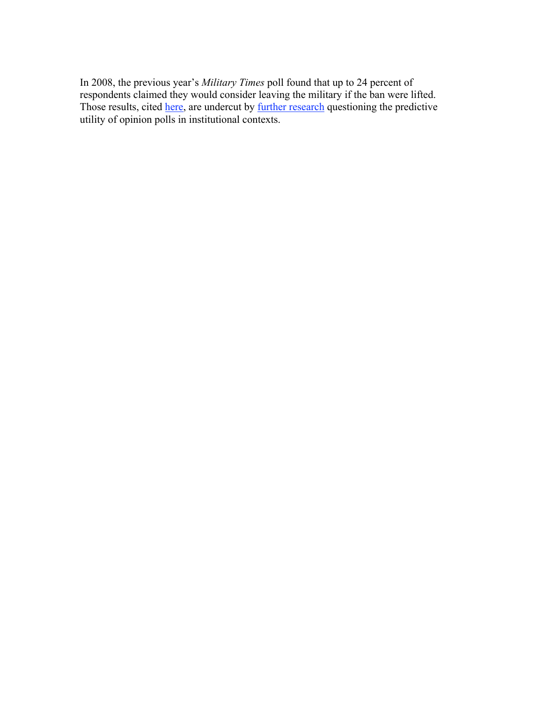In 2008, the previous year's *Military Times* poll found that up to 24 percent of respondents claimed they would consider leaving the military if the ban were lifted. Those results, cited here, are undercut by further research questioning the predictive utility of opinion polls in institutional contexts.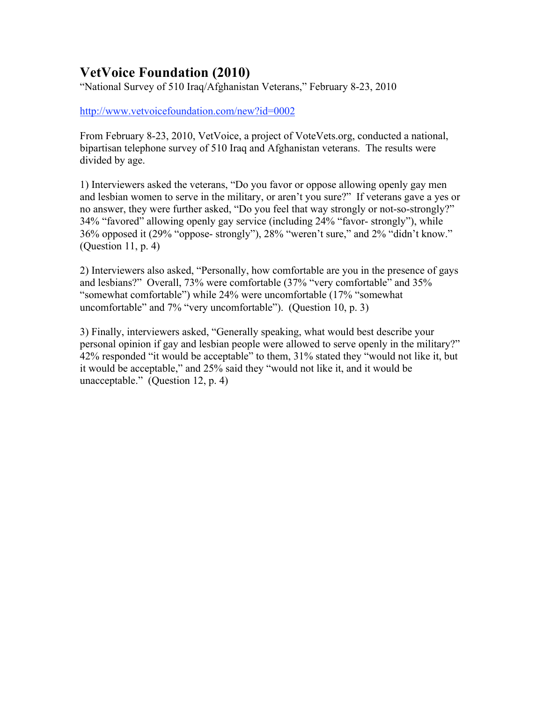# **VetVoice Foundation (2010)**

"National Survey of 510 Iraq/Afghanistan Veterans," February 8-23, 2010

http://www.vetvoicefoundation.com/new?id=0002

From February 8-23, 2010, VetVoice, a project of VoteVets.org, conducted a national, bipartisan telephone survey of 510 Iraq and Afghanistan veterans. The results were divided by age.

1) Interviewers asked the veterans, "Do you favor or oppose allowing openly gay men and lesbian women to serve in the military, or aren't you sure?" If veterans gave a yes or no answer, they were further asked, "Do you feel that way strongly or not-so-strongly?" 34% "favored" allowing openly gay service (including 24% "favor- strongly"), while 36% opposed it (29% "oppose- strongly"), 28% "weren't sure," and 2% "didn't know." (Question 11, p. 4)

2) Interviewers also asked, "Personally, how comfortable are you in the presence of gays and lesbians?" Overall, 73% were comfortable (37% "very comfortable" and 35% "somewhat comfortable") while 24% were uncomfortable (17% "somewhat uncomfortable" and 7% "very uncomfortable"). (Question 10, p. 3)

3) Finally, interviewers asked, "Generally speaking, what would best describe your personal opinion if gay and lesbian people were allowed to serve openly in the military?" 42% responded "it would be acceptable" to them, 31% stated they "would not like it, but it would be acceptable," and 25% said they "would not like it, and it would be unacceptable." (Question 12, p. 4)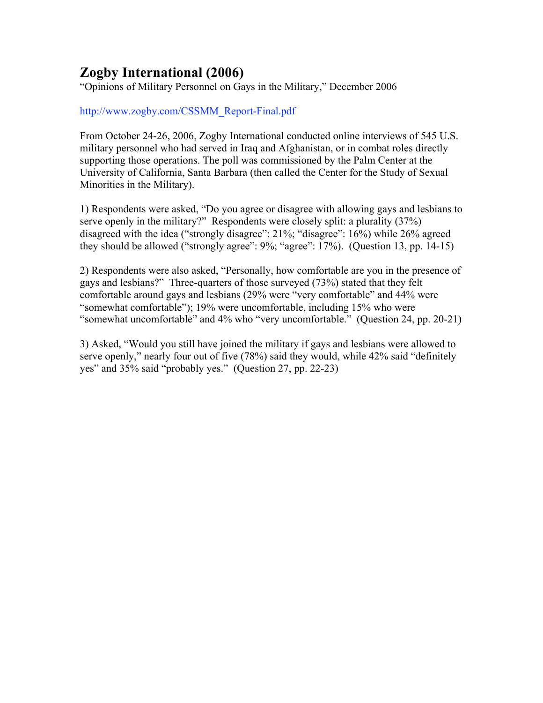# **Zogby International (2006)**

"Opinions of Military Personnel on Gays in the Military," December 2006

http://www.zogby.com/CSSMM\_Report-Final.pdf

From October 24-26, 2006, Zogby International conducted online interviews of 545 U.S. military personnel who had served in Iraq and Afghanistan, or in combat roles directly supporting those operations. The poll was commissioned by the Palm Center at the University of California, Santa Barbara (then called the Center for the Study of Sexual Minorities in the Military).

1) Respondents were asked, "Do you agree or disagree with allowing gays and lesbians to serve openly in the military?" Respondents were closely split: a plurality (37%) disagreed with the idea ("strongly disagree": 21%; "disagree": 16%) while 26% agreed they should be allowed ("strongly agree": 9%; "agree": 17%). (Question 13, pp. 14-15)

2) Respondents were also asked, "Personally, how comfortable are you in the presence of gays and lesbians?" Three-quarters of those surveyed (73%) stated that they felt comfortable around gays and lesbians (29% were "very comfortable" and 44% were "somewhat comfortable"); 19% were uncomfortable, including 15% who were "somewhat uncomfortable" and 4% who "very uncomfortable." (Question 24, pp. 20-21)

3) Asked, "Would you still have joined the military if gays and lesbians were allowed to serve openly," nearly four out of five (78%) said they would, while 42% said "definitely yes" and 35% said "probably yes." (Question 27, pp. 22-23)